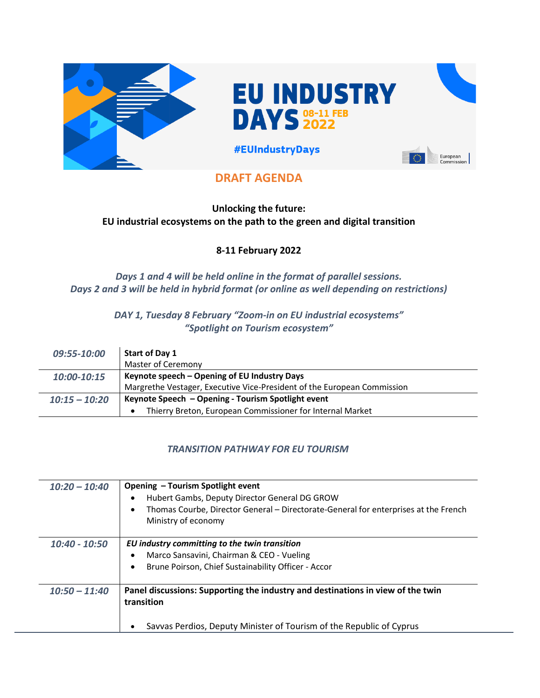

**EU INDUSTRY DAYS 32022** 

European<br>Commission

**#EUIndustryDays** 

## **DRAFT AGENDA**

#### **Unlocking the future: EU industrial ecosystems on the path to the green and digital transition**

### **8-11 February 2022**

*Days 1 and 4 will be held online in the format of parallel sessions. Days 2 and 3 will be held in hybrid format (or online as well depending on restrictions)*

> *DAY 1, Tuesday 8 February "Zoom-in on EU industrial ecosystems" "Spotlight on Tourism ecosystem"*

| 09:55-10:00     | Start of Day 1                                                          |
|-----------------|-------------------------------------------------------------------------|
|                 | <b>Master of Ceremony</b>                                               |
| 10:00-10:15     | Keynote speech - Opening of EU Industry Days                            |
|                 | Margrethe Vestager, Executive Vice-President of the European Commission |
| $10:15 - 10:20$ | Keynote Speech - Opening - Tourism Spotlight event                      |
|                 | Thierry Breton, European Commissioner for Internal Market               |

#### *TRANSITION PATHWAY FOR EU TOURISM*

| $10:20 - 10:40$ | Opening - Tourism Spotlight event<br>Hubert Gambs, Deputy Director General DG GROW<br>Thomas Courbe, Director General – Directorate-General for enterprises at the French<br>Ministry of economy |
|-----------------|--------------------------------------------------------------------------------------------------------------------------------------------------------------------------------------------------|
| 10:40 - 10:50   | EU industry committing to the twin transition<br>Marco Sansavini, Chairman & CEO - Vueling<br>Brune Poirson, Chief Sustainability Officer - Accor                                                |
| $10:50 - 11:40$ | Panel discussions: Supporting the industry and destinations in view of the twin<br>transition<br>Savvas Perdios, Deputy Minister of Tourism of the Republic of Cyprus                            |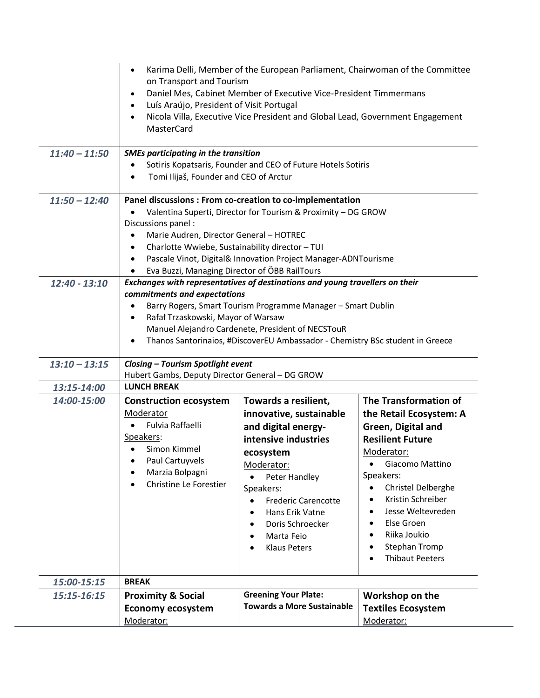|                 | $\bullet$<br>on Transport and Tourism<br>$\bullet$<br>Luís Araújo, President of Visit Portugal<br>$\bullet$<br>$\bullet$<br><b>MasterCard</b> | Karima Delli, Member of the European Parliament, Chairwoman of the Committee<br>Daniel Mes, Cabinet Member of Executive Vice-President Timmermans<br>Nicola Villa, Executive Vice President and Global Lead, Government Engagement |                                              |
|-----------------|-----------------------------------------------------------------------------------------------------------------------------------------------|------------------------------------------------------------------------------------------------------------------------------------------------------------------------------------------------------------------------------------|----------------------------------------------|
| $11:40 - 11:50$ | <b>SMEs participating in the transition</b>                                                                                                   |                                                                                                                                                                                                                                    |                                              |
|                 | Tomi Ilijaš, Founder and CEO of Arctur<br>$\bullet$                                                                                           | Sotiris Kopatsaris, Founder and CEO of Future Hotels Sotiris                                                                                                                                                                       |                                              |
| $11:50 - 12:40$ |                                                                                                                                               | Panel discussions : From co-creation to co-implementation                                                                                                                                                                          |                                              |
|                 |                                                                                                                                               | Valentina Superti, Director for Tourism & Proximity - DG GROW                                                                                                                                                                      |                                              |
|                 | Discussions panel:                                                                                                                            |                                                                                                                                                                                                                                    |                                              |
|                 | Marie Audren, Director General - HOTREC<br>$\bullet$                                                                                          |                                                                                                                                                                                                                                    |                                              |
|                 | Charlotte Wwiebe, Sustainability director - TUI<br>٠<br>$\bullet$                                                                             | Pascale Vinot, Digital& Innovation Project Manager-ADNTourisme                                                                                                                                                                     |                                              |
|                 | Eva Buzzi, Managing Director of ÖBB RailTours                                                                                                 |                                                                                                                                                                                                                                    |                                              |
| 12:40 - 13:10   |                                                                                                                                               | Exchanges with representatives of destinations and young travellers on their                                                                                                                                                       |                                              |
|                 | commitments and expectations                                                                                                                  |                                                                                                                                                                                                                                    |                                              |
|                 | ٠                                                                                                                                             | Barry Rogers, Smart Tourism Programme Manager - Smart Dublin                                                                                                                                                                       |                                              |
|                 | Rafał Trzaskowski, Mayor of Warsaw<br>$\bullet$                                                                                               |                                                                                                                                                                                                                                    |                                              |
|                 |                                                                                                                                               | Manuel Alejandro Cardenete, President of NECSTouR                                                                                                                                                                                  |                                              |
|                 | $\bullet$                                                                                                                                     | Thanos Santorinaios, #DiscoverEU Ambassador - Chemistry BSc student in Greece                                                                                                                                                      |                                              |
| $13:10 - 13:15$ | <b>Closing - Tourism Spotlight event</b>                                                                                                      |                                                                                                                                                                                                                                    |                                              |
|                 | Hubert Gambs, Deputy Director General - DG GROW                                                                                               |                                                                                                                                                                                                                                    |                                              |
| 13:15-14:00     | <b>LUNCH BREAK</b>                                                                                                                            |                                                                                                                                                                                                                                    |                                              |
| 14:00-15:00     | <b>Construction ecosystem</b>                                                                                                                 | Towards a resilient,                                                                                                                                                                                                               | The Transformation of                        |
|                 | Moderator                                                                                                                                     | innovative, sustainable                                                                                                                                                                                                            | the Retail Ecosystem: A                      |
|                 | Fulvia Raffaelli                                                                                                                              | and digital energy-                                                                                                                                                                                                                | Green, Digital and                           |
|                 | Speakers:                                                                                                                                     | intensive industries                                                                                                                                                                                                               | <b>Resilient Future</b>                      |
|                 | Simon Kimmel<br>Paul Cartuyvels                                                                                                               | ecosystem                                                                                                                                                                                                                          | Moderator:                                   |
|                 | Marzia Bolpagni                                                                                                                               | Moderator:                                                                                                                                                                                                                         | Giacomo Mattino                              |
|                 | Christine Le Forestier                                                                                                                        | $\bullet$<br>Peter Handley                                                                                                                                                                                                         | Speakers:<br>Christel Delberghe<br>$\bullet$ |
|                 |                                                                                                                                               | Speakers:<br><b>Frederic Carencotte</b><br>$\bullet$                                                                                                                                                                               | Kristin Schreiber<br>$\bullet$               |
|                 |                                                                                                                                               | Hans Erik Vatne                                                                                                                                                                                                                    | Jesse Weltevreden                            |
|                 |                                                                                                                                               | Doris Schroecker                                                                                                                                                                                                                   | Else Groen                                   |
|                 |                                                                                                                                               | Marta Feio                                                                                                                                                                                                                         | Riika Joukio                                 |
|                 |                                                                                                                                               | <b>Klaus Peters</b>                                                                                                                                                                                                                | <b>Stephan Tromp</b>                         |
|                 |                                                                                                                                               |                                                                                                                                                                                                                                    | <b>Thibaut Peeters</b>                       |
| 15:00-15:15     | <b>BREAK</b>                                                                                                                                  |                                                                                                                                                                                                                                    |                                              |
| 15:15-16:15     | <b>Proximity &amp; Social</b>                                                                                                                 | <b>Greening Your Plate:</b>                                                                                                                                                                                                        | Workshop on the                              |
|                 | <b>Economy ecosystem</b>                                                                                                                      | <b>Towards a More Sustainable</b>                                                                                                                                                                                                  | <b>Textiles Ecosystem</b>                    |
|                 | Moderator:                                                                                                                                    |                                                                                                                                                                                                                                    | Moderator:                                   |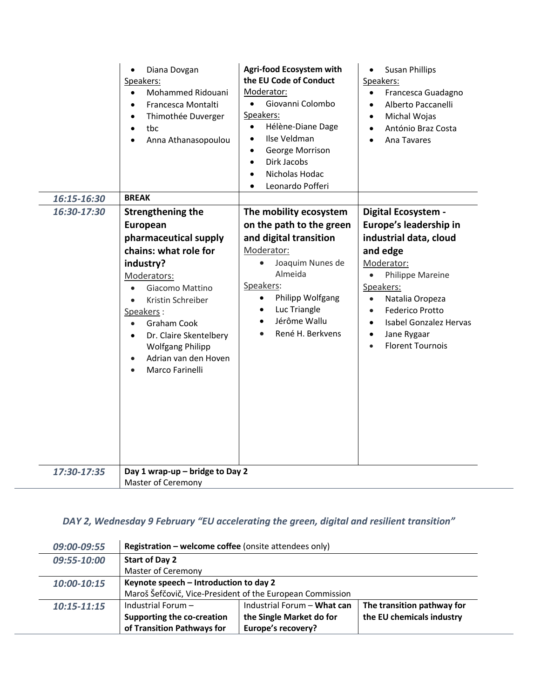|             | Diana Dovgan<br>$\bullet$<br>Speakers:<br>Mohammed Ridouani<br>$\bullet$<br>Francesca Montalti<br>$\bullet$<br>Thimothée Duverger<br>$\bullet$<br>tbc<br>$\bullet$<br>Anna Athanasopoulou                                                                                                           | Agri-food Ecosystem with<br>the EU Code of Conduct<br>Moderator:<br>Giovanni Colombo<br>$\bullet$<br>Speakers:<br>Hélène-Diane Dage<br>$\bullet$<br>Ilse Veldman<br>$\bullet$<br>George Morrison<br>$\bullet$<br>Dirk Jacobs<br>$\bullet$<br>Nicholas Hodac<br>$\bullet$<br>Leonardo Pofferi<br>$\bullet$ | <b>Susan Phillips</b><br>$\bullet$<br>Speakers:<br>Francesca Guadagno<br>$\bullet$<br>Alberto Paccanelli<br>$\bullet$<br>Michal Wojas<br>$\bullet$<br>António Braz Costa<br>$\bullet$<br>Ana Tavares                                                                                                                                            |
|-------------|-----------------------------------------------------------------------------------------------------------------------------------------------------------------------------------------------------------------------------------------------------------------------------------------------------|-----------------------------------------------------------------------------------------------------------------------------------------------------------------------------------------------------------------------------------------------------------------------------------------------------------|-------------------------------------------------------------------------------------------------------------------------------------------------------------------------------------------------------------------------------------------------------------------------------------------------------------------------------------------------|
| 16:15-16:30 | <b>BREAK</b>                                                                                                                                                                                                                                                                                        |                                                                                                                                                                                                                                                                                                           |                                                                                                                                                                                                                                                                                                                                                 |
| 16:30-17:30 | <b>Strengthening the</b><br>European<br>pharmaceutical supply<br>chains: what role for<br>industry?<br>Moderators:<br>Giacomo Mattino<br>Kristin Schreiber<br>Speakers:<br>Graham Cook<br>$\bullet$<br>Dr. Claire Skentelbery<br><b>Wolfgang Philipp</b><br>Adrian van den Hoven<br>Marco Farinelli | The mobility ecosystem<br>on the path to the green<br>and digital transition<br>Moderator:<br>Joaquim Nunes de<br>Almeida<br>Speakers:<br>Philipp Wolfgang<br>$\bullet$<br>Luc Triangle<br>٠<br>Jérôme Wallu<br>$\bullet$<br>René H. Berkvens<br>$\bullet$                                                | <b>Digital Ecosystem -</b><br>Europe's leadership in<br>industrial data, cloud<br>and edge<br>Moderator:<br>Philippe Mareine<br>$\bullet$<br>Speakers:<br>Natalia Oropeza<br>$\bullet$<br><b>Federico Protto</b><br>$\bullet$<br><b>Isabel Gonzalez Hervas</b><br>$\bullet$<br>Jane Rygaar<br>$\bullet$<br><b>Florent Tournois</b><br>$\bullet$ |
| 17:30-17:35 | Day 1 wrap-up - bridge to Day 2                                                                                                                                                                                                                                                                     |                                                                                                                                                                                                                                                                                                           |                                                                                                                                                                                                                                                                                                                                                 |
|             | Master of Ceremony                                                                                                                                                                                                                                                                                  |                                                                                                                                                                                                                                                                                                           |                                                                                                                                                                                                                                                                                                                                                 |

# *DAY 2, Wednesday 9 February "EU accelerating the green, digital and resilient transition"*

| 09:00-09:55     | <b>Registration - welcome coffee (onsite attendees only)</b>                                        |                                                                               |                                                         |
|-----------------|-----------------------------------------------------------------------------------------------------|-------------------------------------------------------------------------------|---------------------------------------------------------|
| 09:55-10:00     | <b>Start of Day 2</b><br><b>Master of Ceremony</b>                                                  |                                                                               |                                                         |
| 10:00-10:15     | Keynote speech - Introduction to day 2<br>Maroš Šefčovič, Vice-President of the European Commission |                                                                               |                                                         |
| $10:15 - 11:15$ | Industrial Forum-<br>Supporting the co-creation<br>of Transition Pathways for                       | Industrial Forum - What can<br>the Single Market do for<br>Europe's recovery? | The transition pathway for<br>the EU chemicals industry |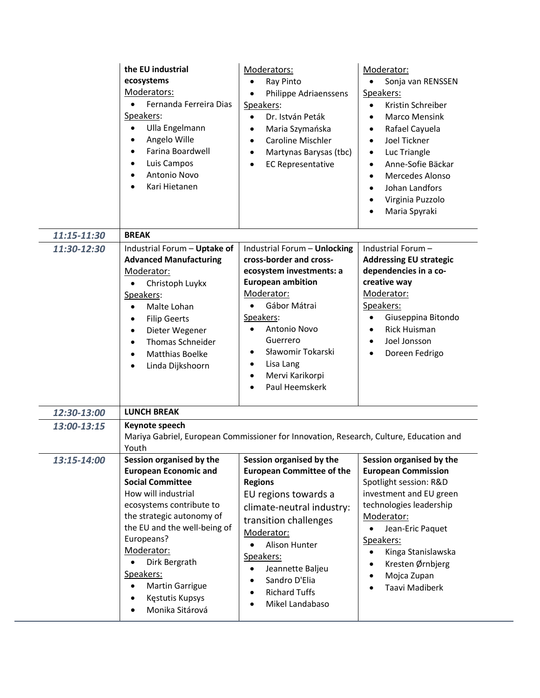|             | the EU industrial<br>ecosystems<br>Moderators:<br>Fernanda Ferreira Dias<br>Speakers:<br>Ulla Engelmann<br>$\bullet$<br>Angelo Wille<br>$\bullet$<br>Farina Boardwell<br>$\bullet$<br>Luis Campos<br>$\bullet$<br>Antonio Novo<br>$\bullet$<br>Kari Hietanen                                                                                            | Moderators:<br>Ray Pinto<br>$\bullet$<br>Philippe Adriaenssens<br>Speakers:<br>Dr. István Peták<br>$\bullet$<br>Maria Szymańska<br>$\bullet$<br>Caroline Mischler<br>$\bullet$<br>Martynas Barysas (tbc)<br>$\bullet$<br><b>EC Representative</b><br>$\bullet$                                        | Moderator:<br>Sonja van RENSSEN<br>$\bullet$<br>Speakers:<br>Kristin Schreiber<br>$\bullet$<br><b>Marco Mensink</b><br>$\bullet$<br>Rafael Cayuela<br>$\bullet$<br>Joel Tickner<br>$\bullet$<br>Luc Triangle<br>$\bullet$<br>Anne-Sofie Bäckar<br>$\bullet$<br>Mercedes Alonso<br>$\bullet$<br>Johan Landfors<br>$\bullet$<br>Virginia Puzzolo<br>Maria Spyraki<br>٠ |
|-------------|---------------------------------------------------------------------------------------------------------------------------------------------------------------------------------------------------------------------------------------------------------------------------------------------------------------------------------------------------------|-------------------------------------------------------------------------------------------------------------------------------------------------------------------------------------------------------------------------------------------------------------------------------------------------------|----------------------------------------------------------------------------------------------------------------------------------------------------------------------------------------------------------------------------------------------------------------------------------------------------------------------------------------------------------------------|
| 11:15-11:30 | <b>BREAK</b>                                                                                                                                                                                                                                                                                                                                            |                                                                                                                                                                                                                                                                                                       |                                                                                                                                                                                                                                                                                                                                                                      |
| 11:30-12:30 | Industrial Forum - Uptake of<br><b>Advanced Manufacturing</b><br>Moderator:<br>Christoph Luykx<br>Speakers:<br>Malte Lohan<br>$\bullet$<br><b>Filip Geerts</b><br>$\bullet$<br>Dieter Wegener<br>$\bullet$<br><b>Thomas Schneider</b><br><b>Matthias Boelke</b><br>$\bullet$<br>Linda Dijkshoorn<br>$\bullet$                                           | Industrial Forum - Unlocking<br>cross-border and cross-<br>ecosystem investments: a<br><b>European ambition</b><br>Moderator:<br>Gábor Mátrai<br>Speakers:<br>Antonio Novo<br>٠<br>Guerrero<br>Sławomir Tokarski<br>٠<br>Lisa Lang<br>٠<br>Mervi Karikorpi<br>$\bullet$<br>Paul Heemskerk<br>٠        | Industrial Forum-<br><b>Addressing EU strategic</b><br>dependencies in a co-<br>creative way<br>Moderator:<br>Speakers:<br>Giuseppina Bitondo<br>$\bullet$<br><b>Rick Huisman</b><br>$\bullet$<br>Joel Jonsson<br>$\bullet$<br>Doreen Fedrigo<br>$\bullet$                                                                                                           |
| 12:30-13:00 | <b>LUNCH BREAK</b>                                                                                                                                                                                                                                                                                                                                      |                                                                                                                                                                                                                                                                                                       |                                                                                                                                                                                                                                                                                                                                                                      |
| 13:00-13:15 | Keynote speech<br>Youth                                                                                                                                                                                                                                                                                                                                 | Mariya Gabriel, European Commissioner for Innovation, Research, Culture, Education and                                                                                                                                                                                                                |                                                                                                                                                                                                                                                                                                                                                                      |
| 13:15-14:00 | Session organised by the<br><b>European Economic and</b><br><b>Social Committee</b><br>How will industrial<br>ecosystems contribute to<br>the strategic autonomy of<br>the EU and the well-being of<br>Europeans?<br>Moderator:<br>Dirk Bergrath<br>Speakers:<br><b>Martin Garrigue</b><br>$\bullet$<br>Kęstutis Kupsys<br>$\bullet$<br>Monika Sitárová | Session organised by the<br><b>European Committee of the</b><br><b>Regions</b><br>EU regions towards a<br>climate-neutral industry:<br>transition challenges<br>Moderator:<br>Alison Hunter<br>Speakers:<br>Jeannette Baljeu<br>$\bullet$<br>Sandro D'Elia<br><b>Richard Tuffs</b><br>Mikel Landabaso | Session organised by the<br><b>European Commission</b><br>Spotlight session: R&D<br>investment and EU green<br>technologies leadership<br>Moderator:<br>Jean-Eric Paquet<br>$\bullet$<br>Speakers:<br>Kinga Stanislawska<br>$\bullet$<br>Kresten Ørnbjerg<br>$\bullet$<br>Mojca Zupan<br>$\bullet$<br>Taavi Madiberk                                                 |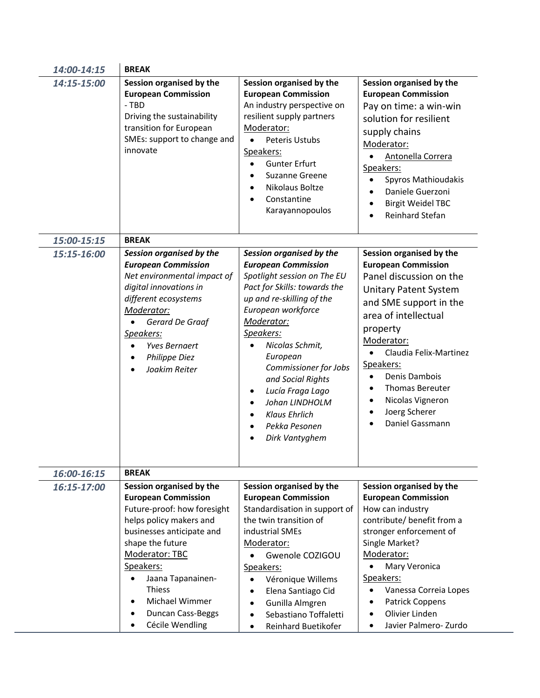| 14:00-14:15 | <b>BREAK</b>                |                                   |                                    |
|-------------|-----------------------------|-----------------------------------|------------------------------------|
| 14:15-15:00 | Session organised by the    | Session organised by the          | Session organised by the           |
|             | <b>European Commission</b>  | <b>European Commission</b>        | <b>European Commission</b>         |
|             | - TBD                       | An industry perspective on        | Pay on time: a win-win             |
|             | Driving the sustainability  | resilient supply partners         | solution for resilient             |
|             | transition for European     | Moderator:                        | supply chains                      |
|             | SMEs: support to change and | <b>Peteris Ustubs</b>             | Moderator:                         |
|             | innovate                    | Speakers:                         | Antonella Correra<br>$\bullet$     |
|             |                             | <b>Gunter Erfurt</b>              | Speakers:                          |
|             |                             | Suzanne Greene                    | Spyros Mathioudakis<br>$\bullet$   |
|             |                             | Nikolaus Boltze                   | Daniele Guerzoni                   |
|             |                             | Constantine<br>٠                  | <b>Birgit Weidel TBC</b>           |
|             |                             | Karayannopoulos                   | Reinhard Stefan<br>٠               |
|             |                             |                                   |                                    |
| 15:00-15:15 | <b>BREAK</b>                |                                   |                                    |
| 15:15-16:00 | Session organised by the    | Session organised by the          | Session organised by the           |
|             | <b>European Commission</b>  | <b>European Commission</b>        | <b>European Commission</b>         |
|             | Net environmental impact of | Spotlight session on The EU       | Panel discussion on the            |
|             | digital innovations in      | Pact for Skills: towards the      | <b>Unitary Patent System</b>       |
|             | different ecosystems        | up and re-skilling of the         | and SME support in the             |
|             | Moderator:                  | European workforce                | area of intellectual               |
|             | Gerard De Graaf             | Moderator:                        | property                           |
|             | Speakers:                   | Speakers:                         | Moderator:                         |
|             | <b>Yves Bernaert</b>        | Nicolas Schmit,                   | Claudia Felix-Martinez             |
|             | Philippe Diez               | European                          | Speakers:                          |
|             | Joakim Reiter               | Commissioner for Jobs             | Denis Dambois<br>$\bullet$         |
|             |                             | and Social Rights                 | Thomas Bereuter                    |
|             |                             | Lucía Fraga Lago<br>٠             | Nicolas Vigneron<br>$\bullet$      |
|             |                             | Johan LINDHOLM                    | Joerg Scherer<br>$\bullet$         |
|             |                             | <b>Klaus Ehrlich</b><br>$\bullet$ | Daniel Gassmann                    |
|             |                             | Pekka Pesonen<br>٠                |                                    |
|             |                             | Dirk Vantyghem                    |                                    |
|             |                             |                                   |                                    |
| 16:00-16:15 | <b>BREAK</b>                |                                   |                                    |
| 16:15-17:00 | Session organised by the    | Session organised by the          | Session organised by the           |
|             | <b>European Commission</b>  | <b>European Commission</b>        | <b>European Commission</b>         |
|             | Future-proof: how foresight | Standardisation in support of     | How can industry                   |
|             | helps policy makers and     | the twin transition of            | contribute/ benefit from a         |
|             | businesses anticipate and   | industrial SMEs                   | stronger enforcement of            |
|             | shape the future            | Moderator:                        | Single Market?                     |
|             | Moderator: TBC              | Gwenole COZIGOU<br>$\bullet$      | Moderator:                         |
|             | Speakers:                   | Speakers:                         | Mary Veronica<br>$\bullet$         |
|             | Jaana Tapanainen-           | Véronique Willems<br>$\bullet$    | Speakers:                          |
|             | <b>Thiess</b>               | Elena Santiago Cid<br>$\bullet$   | Vanessa Correia Lopes<br>$\bullet$ |
|             | Michael Wimmer              | Gunilla Almgren<br>$\bullet$      | <b>Patrick Coppens</b><br>٠        |
|             | <b>Duncan Cass-Beggs</b>    | Sebastiano Toffaletti             | Olivier Linden                     |
|             | Cécile Wendling             | Reinhard Buetikofer               | Javier Palmero- Zurdo              |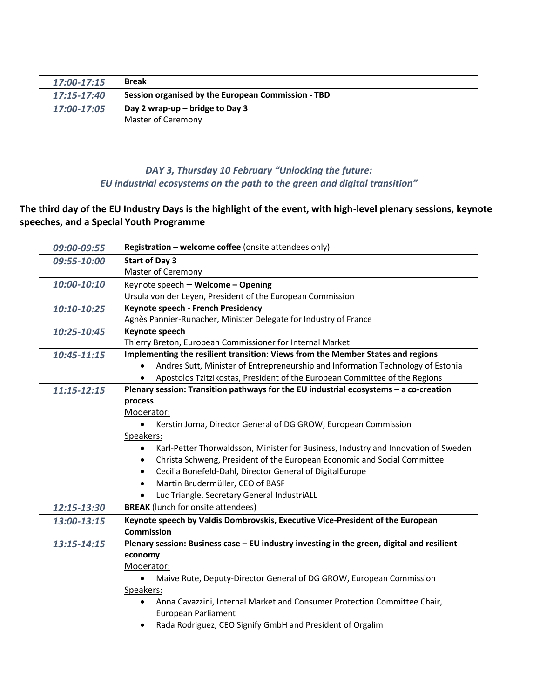| 17:00-17:15     | <b>Break</b>                                       |
|-----------------|----------------------------------------------------|
| $17:15 - 17:40$ | Session organised by the European Commission - TBD |
| 17:00-17:05     | Day 2 wrap-up – bridge to Day 3                    |
|                 | <b>Master of Ceremony</b>                          |

### *DAY 3, Thursday 10 February "Unlocking the future: EU industrial ecosystems on the path to the green and digital transition"*

### **The third day of the EU Industry Days is the highlight of the event, with high-level plenary sessions, keynote speeches, and a Special Youth Programme**

| Registration - welcome coffee (onsite attendees only)                                                 |  |  |
|-------------------------------------------------------------------------------------------------------|--|--|
| <b>Start of Day 3</b>                                                                                 |  |  |
| Master of Ceremony                                                                                    |  |  |
| Keynote speech - Welcome - Opening                                                                    |  |  |
| Ursula von der Leyen, President of the European Commission                                            |  |  |
| Keynote speech - French Presidency                                                                    |  |  |
| Agnès Pannier-Runacher, Minister Delegate for Industry of France                                      |  |  |
| Keynote speech                                                                                        |  |  |
| Thierry Breton, European Commissioner for Internal Market                                             |  |  |
| Implementing the resilient transition: Views from the Member States and regions                       |  |  |
| Andres Sutt, Minister of Entrepreneurship and Information Technology of Estonia                       |  |  |
| Apostolos Tzitzikostas, President of the European Committee of the Regions                            |  |  |
| Plenary session: Transition pathways for the EU industrial ecosystems - a co-creation                 |  |  |
| process                                                                                               |  |  |
| Moderator:                                                                                            |  |  |
| Kerstin Jorna, Director General of DG GROW, European Commission                                       |  |  |
| Speakers:                                                                                             |  |  |
| Karl-Petter Thorwaldsson, Minister for Business, Industry and Innovation of Sweden<br>٠               |  |  |
| Christa Schweng, President of the European Economic and Social Committee<br>$\bullet$                 |  |  |
| Cecilia Bonefeld-Dahl, Director General of DigitalEurope<br>٠                                         |  |  |
| Martin Brudermüller, CEO of BASF<br>$\bullet$                                                         |  |  |
| Luc Triangle, Secretary General IndustriALL                                                           |  |  |
| <b>BREAK</b> (lunch for onsite attendees)                                                             |  |  |
| Keynote speech by Valdis Dombrovskis, Executive Vice-President of the European                        |  |  |
| <b>Commission</b>                                                                                     |  |  |
| Plenary session: Business case - EU industry investing in the green, digital and resilient<br>economy |  |  |
| Moderator:                                                                                            |  |  |
| Maive Rute, Deputy-Director General of DG GROW, European Commission                                   |  |  |
| Speakers:                                                                                             |  |  |
| Anna Cavazzini, Internal Market and Consumer Protection Committee Chair,<br>$\bullet$                 |  |  |
| <b>European Parliament</b>                                                                            |  |  |
| Rada Rodriguez, CEO Signify GmbH and President of Orgalim<br>٠                                        |  |  |
|                                                                                                       |  |  |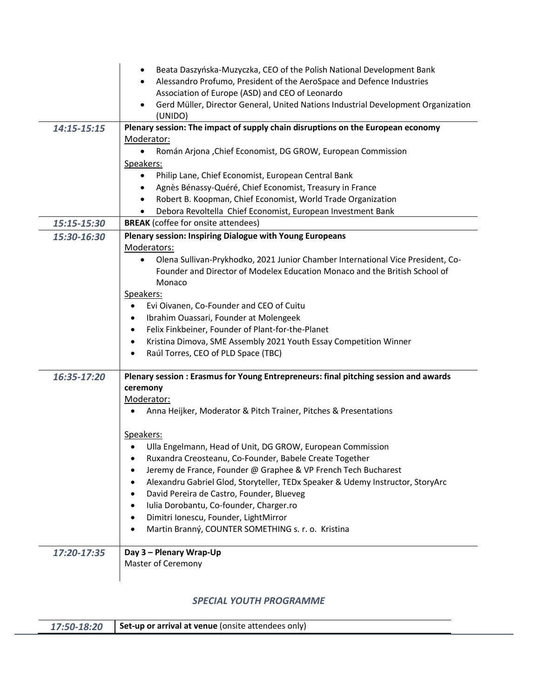|             | Beata Daszyńska-Muzyczka, CEO of the Polish National Development Bank<br>٠<br>Alessandro Profumo, President of the AeroSpace and Defence Industries<br>Association of Europe (ASD) and CEO of Leonardo                                                                                                                                                                                                                                                                                                                                                                                                                                                              |
|-------------|---------------------------------------------------------------------------------------------------------------------------------------------------------------------------------------------------------------------------------------------------------------------------------------------------------------------------------------------------------------------------------------------------------------------------------------------------------------------------------------------------------------------------------------------------------------------------------------------------------------------------------------------------------------------|
|             | Gerd Müller, Director General, United Nations Industrial Development Organization<br>(UNIDO)                                                                                                                                                                                                                                                                                                                                                                                                                                                                                                                                                                        |
| 14:15-15:15 | Plenary session: The impact of supply chain disruptions on the European economy<br>Moderator:<br>Román Arjona , Chief Economist, DG GROW, European Commission<br>Speakers:<br>Philip Lane, Chief Economist, European Central Bank<br>$\bullet$<br>Agnès Bénassy-Quéré, Chief Economist, Treasury in France<br>$\bullet$<br>Robert B. Koopman, Chief Economist, World Trade Organization<br>$\bullet$<br>Debora Revoltella Chief Economist, European Investment Bank                                                                                                                                                                                                 |
| 15:15-15:30 | <b>BREAK</b> (coffee for onsite attendees)                                                                                                                                                                                                                                                                                                                                                                                                                                                                                                                                                                                                                          |
| 15:30-16:30 | Plenary session: Inspiring Dialogue with Young Europeans<br>Moderators:<br>Olena Sullivan-Prykhodko, 2021 Junior Chamber International Vice President, Co-<br>$\bullet$<br>Founder and Director of Modelex Education Monaco and the British School of<br>Monaco<br>Speakers:<br>Evi Oivanen, Co-Founder and CEO of Cuitu<br>٠<br>Ibrahim Ouassari, Founder at Molengeek<br>$\bullet$<br>Felix Finkbeiner, Founder of Plant-for-the-Planet<br>٠<br>Kristina Dimova, SME Assembly 2021 Youth Essay Competition Winner<br>$\bullet$<br>Raúl Torres, CEO of PLD Space (TBC)                                                                                             |
| 16:35-17:20 | Plenary session : Erasmus for Young Entrepreneurs: final pitching session and awards<br>ceremony<br>Moderator:<br>Anna Heijker, Moderator & Pitch Trainer, Pitches & Presentations<br>Speakers:<br>Ulla Engelmann, Head of Unit, DG GROW, European Commission<br>Ruxandra Creosteanu, Co-Founder, Babele Create Together<br>Jeremy de France, Founder @ Graphee & VP French Tech Bucharest<br>Alexandru Gabriel Glod, Storyteller, TEDx Speaker & Udemy Instructor, StoryArc<br>David Pereira de Castro, Founder, Blueveg<br>Iulia Dorobantu, Co-founder, Charger.ro<br>Dimitri Ionescu, Founder, LightMirror<br>Martin Branný, COUNTER SOMETHING s. r. o. Kristina |
| 17:20-17:35 | Day 3 - Plenary Wrap-Up<br>Master of Ceremony                                                                                                                                                                                                                                                                                                                                                                                                                                                                                                                                                                                                                       |

#### *SPECIAL YOUTH PROGRAMME*

| 17:50-18:20 Set-up or arrival at venue (onsite attendees only) |
|----------------------------------------------------------------|
|----------------------------------------------------------------|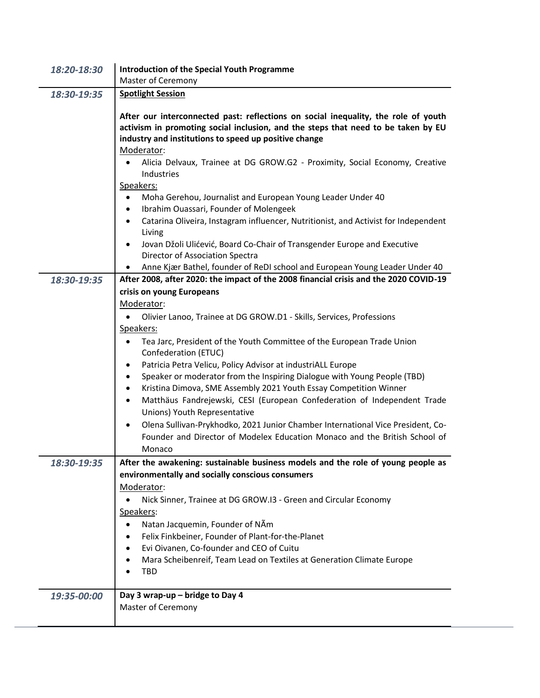| 18:20-18:30 | <b>Introduction of the Special Youth Programme</b>                                                                                                                                                                                                                                                                                                                                                                                                                                                                                                                                                                                                                                                                                                                                              |  |  |
|-------------|-------------------------------------------------------------------------------------------------------------------------------------------------------------------------------------------------------------------------------------------------------------------------------------------------------------------------------------------------------------------------------------------------------------------------------------------------------------------------------------------------------------------------------------------------------------------------------------------------------------------------------------------------------------------------------------------------------------------------------------------------------------------------------------------------|--|--|
|             | Master of Ceremony                                                                                                                                                                                                                                                                                                                                                                                                                                                                                                                                                                                                                                                                                                                                                                              |  |  |
| 18:30-19:35 | <b>Spotlight Session</b>                                                                                                                                                                                                                                                                                                                                                                                                                                                                                                                                                                                                                                                                                                                                                                        |  |  |
|             | After our interconnected past: reflections on social inequality, the role of youth<br>activism in promoting social inclusion, and the steps that need to be taken by EU<br>industry and institutions to speed up positive change<br>Moderator:<br>Alicia Delvaux, Trainee at DG GROW.G2 - Proximity, Social Economy, Creative<br>Industries<br>Speakers:<br>Moha Gerehou, Journalist and European Young Leader Under 40<br>$\bullet$<br>Ibrahim Ouassari, Founder of Molengeek<br>$\bullet$<br>Catarina Oliveira, Instagram influencer, Nutritionist, and Activist for Independent<br>Living<br>Jovan Džoli Ulićević, Board Co-Chair of Transgender Europe and Executive<br>Director of Association Spectra<br>Anne Kjær Bathel, founder of ReDI school and European Young Leader Under 40<br>٠ |  |  |
| 18:30-19:35 | After 2008, after 2020: the impact of the 2008 financial crisis and the 2020 COVID-19                                                                                                                                                                                                                                                                                                                                                                                                                                                                                                                                                                                                                                                                                                           |  |  |
|             | crisis on young Europeans                                                                                                                                                                                                                                                                                                                                                                                                                                                                                                                                                                                                                                                                                                                                                                       |  |  |
|             | Moderator:                                                                                                                                                                                                                                                                                                                                                                                                                                                                                                                                                                                                                                                                                                                                                                                      |  |  |
|             | Olivier Lanoo, Trainee at DG GROW.D1 - Skills, Services, Professions                                                                                                                                                                                                                                                                                                                                                                                                                                                                                                                                                                                                                                                                                                                            |  |  |
|             | Speakers:                                                                                                                                                                                                                                                                                                                                                                                                                                                                                                                                                                                                                                                                                                                                                                                       |  |  |
|             | Tea Jarc, President of the Youth Committee of the European Trade Union<br>Confederation (ETUC)                                                                                                                                                                                                                                                                                                                                                                                                                                                                                                                                                                                                                                                                                                  |  |  |
|             | Patricia Petra Velicu, Policy Advisor at industriALL Europe                                                                                                                                                                                                                                                                                                                                                                                                                                                                                                                                                                                                                                                                                                                                     |  |  |
|             | Speaker or moderator from the Inspiring Dialogue with Young People (TBD)<br>$\bullet$<br>Kristina Dimova, SME Assembly 2021 Youth Essay Competition Winner<br>$\bullet$                                                                                                                                                                                                                                                                                                                                                                                                                                                                                                                                                                                                                         |  |  |
|             | Matthäus Fandrejewski, CESI (European Confederation of Independent Trade<br>$\bullet$                                                                                                                                                                                                                                                                                                                                                                                                                                                                                                                                                                                                                                                                                                           |  |  |
|             | Unions) Youth Representative                                                                                                                                                                                                                                                                                                                                                                                                                                                                                                                                                                                                                                                                                                                                                                    |  |  |
|             | Olena Sullivan-Prykhodko, 2021 Junior Chamber International Vice President, Co-<br>٠                                                                                                                                                                                                                                                                                                                                                                                                                                                                                                                                                                                                                                                                                                            |  |  |
|             | Founder and Director of Modelex Education Monaco and the British School of                                                                                                                                                                                                                                                                                                                                                                                                                                                                                                                                                                                                                                                                                                                      |  |  |
|             | Monaco                                                                                                                                                                                                                                                                                                                                                                                                                                                                                                                                                                                                                                                                                                                                                                                          |  |  |
| 18:30-19:35 | After the awakening: sustainable business models and the role of young people as                                                                                                                                                                                                                                                                                                                                                                                                                                                                                                                                                                                                                                                                                                                |  |  |
|             | environmentally and socially conscious consumers                                                                                                                                                                                                                                                                                                                                                                                                                                                                                                                                                                                                                                                                                                                                                |  |  |
|             | Moderator:                                                                                                                                                                                                                                                                                                                                                                                                                                                                                                                                                                                                                                                                                                                                                                                      |  |  |
|             | Nick Sinner, Trainee at DG GROW.I3 - Green and Circular Economy<br>$\bullet$                                                                                                                                                                                                                                                                                                                                                                                                                                                                                                                                                                                                                                                                                                                    |  |  |
|             | Speakers:                                                                                                                                                                                                                                                                                                                                                                                                                                                                                                                                                                                                                                                                                                                                                                                       |  |  |
|             | Natan Jacquemin, Founder of NAm                                                                                                                                                                                                                                                                                                                                                                                                                                                                                                                                                                                                                                                                                                                                                                 |  |  |
|             | Felix Finkbeiner, Founder of Plant-for-the-Planet                                                                                                                                                                                                                                                                                                                                                                                                                                                                                                                                                                                                                                                                                                                                               |  |  |
|             | Evi Oivanen, Co-founder and CEO of Cuitu<br>$\bullet$                                                                                                                                                                                                                                                                                                                                                                                                                                                                                                                                                                                                                                                                                                                                           |  |  |
|             | Mara Scheibenreif, Team Lead on Textiles at Generation Climate Europe<br>TBD                                                                                                                                                                                                                                                                                                                                                                                                                                                                                                                                                                                                                                                                                                                    |  |  |
|             |                                                                                                                                                                                                                                                                                                                                                                                                                                                                                                                                                                                                                                                                                                                                                                                                 |  |  |
| 19:35-00:00 | Day 3 wrap-up - bridge to Day 4                                                                                                                                                                                                                                                                                                                                                                                                                                                                                                                                                                                                                                                                                                                                                                 |  |  |
|             | Master of Ceremony                                                                                                                                                                                                                                                                                                                                                                                                                                                                                                                                                                                                                                                                                                                                                                              |  |  |
|             |                                                                                                                                                                                                                                                                                                                                                                                                                                                                                                                                                                                                                                                                                                                                                                                                 |  |  |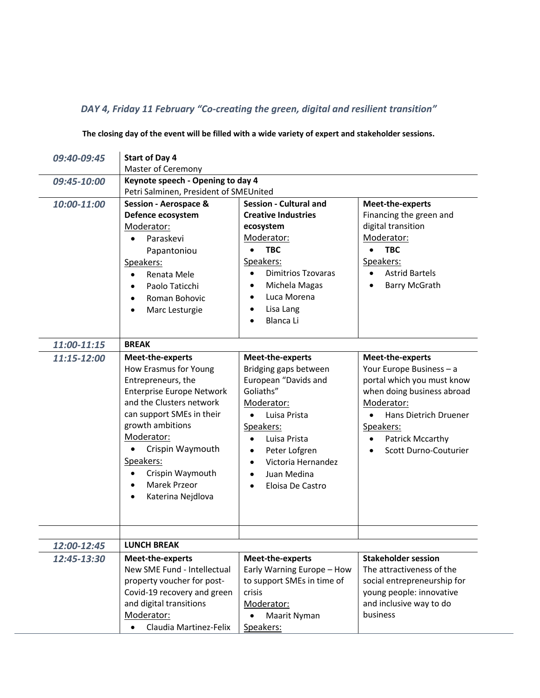# *DAY 4, Friday 11 February "Co-creating the green, digital and resilient transition"*

| 09:40-09:45 | <b>Start of Day 4</b>                                  |                                 |                                                     |  |
|-------------|--------------------------------------------------------|---------------------------------|-----------------------------------------------------|--|
|             | Master of Ceremony                                     |                                 |                                                     |  |
| 09:45-10:00 | Keynote speech - Opening to day 4                      |                                 |                                                     |  |
|             | Petri Salminen, President of SMEUnited                 |                                 |                                                     |  |
| 10:00-11:00 | <b>Session - Aerospace &amp;</b>                       | <b>Session - Cultural and</b>   | Meet-the-experts                                    |  |
|             | Defence ecosystem                                      | <b>Creative Industries</b>      | Financing the green and                             |  |
|             | Moderator:                                             | ecosystem                       | digital transition                                  |  |
|             | Paraskevi                                              | Moderator:                      | Moderator:                                          |  |
|             | Papantoniou                                            | <b>TBC</b>                      | <b>TBC</b>                                          |  |
|             | Speakers:                                              | Speakers:                       | Speakers:                                           |  |
|             | Renata Mele<br>$\bullet$                               | <b>Dimitrios Tzovaras</b>       | <b>Astrid Bartels</b>                               |  |
|             | Paolo Taticchi<br>$\bullet$                            | Michela Magas<br>٠              | <b>Barry McGrath</b>                                |  |
|             | Roman Bohovic<br>$\bullet$                             | Luca Morena<br>$\bullet$        |                                                     |  |
|             | Marc Lesturgie                                         | Lisa Lang                       |                                                     |  |
|             |                                                        | Blanca Li                       |                                                     |  |
|             |                                                        |                                 |                                                     |  |
| 11:00-11:15 | <b>BREAK</b>                                           |                                 |                                                     |  |
| 11:15-12:00 | Meet-the-experts                                       | Meet-the-experts                | Meet-the-experts                                    |  |
|             | How Erasmus for Young                                  | Bridging gaps between           | Your Europe Business - a                            |  |
|             | Entrepreneurs, the                                     | European "Davids and            | portal which you must know                          |  |
|             | <b>Enterprise Europe Network</b>                       | Goliaths"                       | when doing business abroad                          |  |
|             | and the Clusters network                               | Moderator:                      | Moderator:                                          |  |
|             | can support SMEs in their                              | Luisa Prista<br>$\bullet$       | Hans Dietrich Druener<br>$\bullet$                  |  |
|             | growth ambitions                                       | Speakers:                       | Speakers:                                           |  |
|             | Moderator:                                             | Luisa Prista<br>$\bullet$       | Patrick Mccarthy<br>$\bullet$                       |  |
|             | Crispin Waymouth                                       | Peter Lofgren<br>$\bullet$      | Scott Durno-Couturier                               |  |
|             | Speakers:                                              | Victoria Hernandez<br>$\bullet$ |                                                     |  |
|             | Crispin Waymouth                                       | Juan Medina                     |                                                     |  |
|             | Marek Przeor                                           | Eloisa De Castro                |                                                     |  |
|             | Katerina Nejdlova                                      |                                 |                                                     |  |
|             |                                                        |                                 |                                                     |  |
|             |                                                        |                                 |                                                     |  |
|             |                                                        |                                 |                                                     |  |
| 12:00-12:45 | <b>LUNCH BREAK</b>                                     |                                 |                                                     |  |
| 12:45-13:30 | Meet-the-experts                                       | Meet-the-experts                | <b>Stakeholder session</b>                          |  |
|             | New SME Fund - Intellectual                            | Early Warning Europe - How      | The attractiveness of the                           |  |
|             | property voucher for post-                             | to support SMEs in time of      | social entrepreneurship for                         |  |
|             | Covid-19 recovery and green<br>and digital transitions | crisis                          | young people: innovative<br>and inclusive way to do |  |
|             | Moderator:                                             | Moderator:<br>Maarit Nyman      | business                                            |  |
|             | Claudia Martinez-Felix                                 |                                 |                                                     |  |
|             |                                                        | Speakers:                       |                                                     |  |

#### **The closing day of the event will be filled with a wide variety of expert and stakeholder sessions.**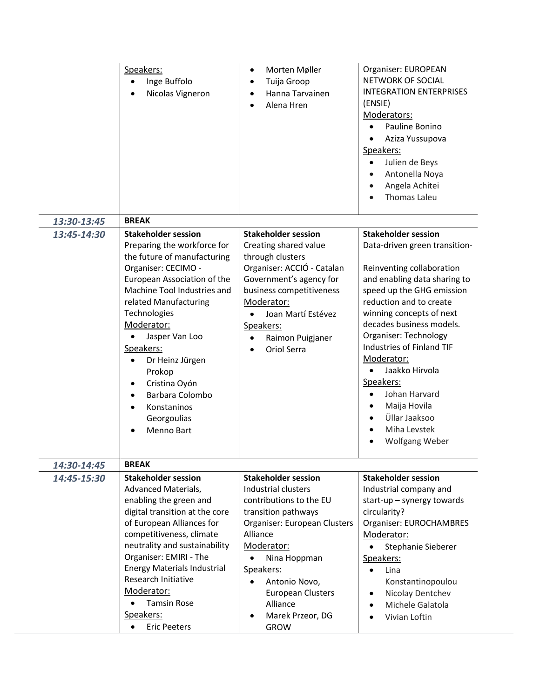|             | Speakers:<br>Inge Buffolo<br>$\bullet$<br>Nicolas Vigneron                                                                                                                                                                                                                                                                                                                                                                   | Morten Møller<br>$\bullet$<br>Tuija Groop<br>$\bullet$<br>Hanna Tarvainen<br>$\bullet$<br>Alena Hren                                                                                                                                                                                    | Organiser: EUROPEAN<br>NETWORK OF SOCIAL<br><b>INTEGRATION ENTERPRISES</b><br>(ENSIE)<br>Moderators:<br>Pauline Bonino<br>$\bullet$<br>Aziza Yussupova<br>Speakers:<br>Julien de Beys<br>Antonella Noya<br>Angela Achitei<br><b>Thomas Laleu</b>                                                                                                                                                                                                          |
|-------------|------------------------------------------------------------------------------------------------------------------------------------------------------------------------------------------------------------------------------------------------------------------------------------------------------------------------------------------------------------------------------------------------------------------------------|-----------------------------------------------------------------------------------------------------------------------------------------------------------------------------------------------------------------------------------------------------------------------------------------|-----------------------------------------------------------------------------------------------------------------------------------------------------------------------------------------------------------------------------------------------------------------------------------------------------------------------------------------------------------------------------------------------------------------------------------------------------------|
| 13:30-13:45 | <b>BREAK</b>                                                                                                                                                                                                                                                                                                                                                                                                                 |                                                                                                                                                                                                                                                                                         |                                                                                                                                                                                                                                                                                                                                                                                                                                                           |
| 13:45-14:30 | <b>Stakeholder session</b><br>Preparing the workforce for<br>the future of manufacturing<br>Organiser: CECIMO -<br>European Association of the<br>Machine Tool Industries and<br>related Manufacturing<br>Technologies<br>Moderator:<br>Jasper Van Loo<br>Speakers:<br>Dr Heinz Jürgen<br>٠<br>Prokop<br>Cristina Oyón<br>$\bullet$<br>Barbara Colombo<br>$\bullet$<br>Konstaninos<br>$\bullet$<br>Georgoulias<br>Menno Bart | <b>Stakeholder session</b><br>Creating shared value<br>through clusters<br>Organiser: ACCIÓ - Catalan<br>Government's agency for<br>business competitiveness<br>Moderator:<br>Joan Martí Estévez<br>$\bullet$<br>Speakers:<br>Raimon Puigjaner<br>$\bullet$<br>Oriol Serra<br>$\bullet$ | <b>Stakeholder session</b><br>Data-driven green transition-<br>Reinventing collaboration<br>and enabling data sharing to<br>speed up the GHG emission<br>reduction and to create<br>winning concepts of next<br>decades business models.<br>Organiser: Technology<br>Industries of Finland TIF<br>Moderator:<br>Jaakko Hirvola<br>$\bullet$<br>Speakers:<br>Johan Harvard<br>Maija Hovila<br>Üllar Jaaksoo<br>Miha Levstek<br>$\bullet$<br>Wolfgang Weber |
| 14:30-14:45 | <b>BREAK</b>                                                                                                                                                                                                                                                                                                                                                                                                                 |                                                                                                                                                                                                                                                                                         |                                                                                                                                                                                                                                                                                                                                                                                                                                                           |
| 14:45-15:30 | <b>Stakeholder session</b><br>Advanced Materials,<br>enabling the green and                                                                                                                                                                                                                                                                                                                                                  | <b>Stakeholder session</b><br>Industrial clusters<br>contributions to the EU                                                                                                                                                                                                            | <b>Stakeholder session</b><br>Industrial company and<br>start-up $-$ synergy towards                                                                                                                                                                                                                                                                                                                                                                      |
|             | digital transition at the core<br>of European Alliances for<br>competitiveness, climate<br>neutrality and sustainability<br>Organiser: EMIRI - The<br><b>Energy Materials Industrial</b><br>Research Initiative<br>Moderator:                                                                                                                                                                                                | transition pathways<br>Organiser: European Clusters<br>Alliance<br>Moderator:<br>Nina Hoppman<br>Speakers:<br>Antonio Novo,<br>$\bullet$<br><b>European Clusters</b>                                                                                                                    | circularity?<br>Organiser: EUROCHAMBRES<br>Moderator:<br>Stephanie Sieberer<br>Speakers:<br>Lina<br>Konstantinopoulou<br>Nicolay Dentchev<br>$\bullet$                                                                                                                                                                                                                                                                                                    |
|             | <b>Tamsin Rose</b><br>$\bullet$<br>Speakers:<br><b>Eric Peeters</b><br>$\bullet$                                                                                                                                                                                                                                                                                                                                             | Alliance<br>Marek Przeor, DG<br>$\bullet$<br><b>GROW</b>                                                                                                                                                                                                                                | Michele Galatola<br>Vivian Loftin                                                                                                                                                                                                                                                                                                                                                                                                                         |